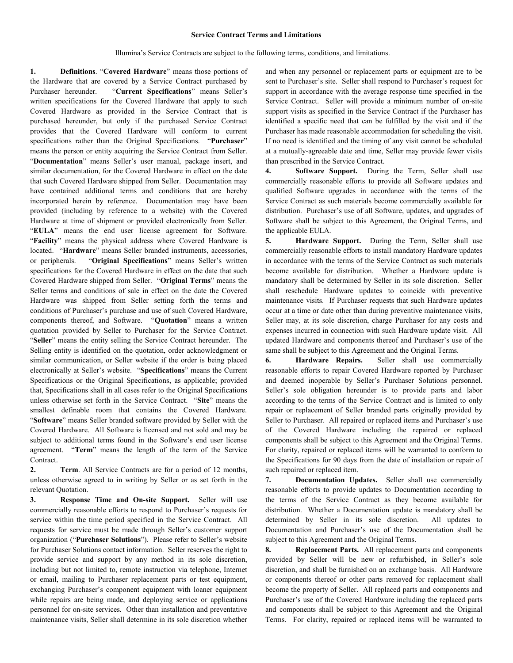## **Service Contract Terms and Limitations**

Illumina's Service Contracts are subject to the following terms, conditions, and limitations.

**1. Definitions**. "**Covered Hardware**" means those portions of the Hardware that are covered by a Service Contract purchased by Purchaser hereunder. "**Current Specifications**" means Seller's written specifications for the Covered Hardware that apply to such Covered Hardware as provided in the Service Contract that is purchased hereunder, but only if the purchased Service Contract provides that the Covered Hardware will conform to current specifications rather than the Original Specifications. "**Purchaser**" means the person or entity acquiring the Service Contract from Seller. "**Documentation**" means Seller's user manual, package insert, and similar documentation, for the Covered Hardware in effect on the date that such Covered Hardware shipped from Seller. Documentation may have contained additional terms and conditions that are hereby incorporated herein by reference. Documentation may have been provided (including by reference to a website) with the Covered Hardware at time of shipment or provided electronically from Seller. "**EULA**" means the end user license agreement for Software. "**Facility**" means the physical address where Covered Hardware is located. "**Hardware**" means Seller branded instruments, accessories, or peripherals. "**Original Specifications**" means Seller's written specifications for the Covered Hardware in effect on the date that such Covered Hardware shipped from Seller. "**Original Terms**" means the Seller terms and conditions of sale in effect on the date the Covered Hardware was shipped from Seller setting forth the terms and conditions of Purchaser's purchase and use of such Covered Hardware, components thereof, and Software. "**Quotation**" means a written quotation provided by Seller to Purchaser for the Service Contract. "**Seller**" means the entity selling the Service Contract hereunder. The Selling entity is identified on the quotation, order acknowledgment or similar communication, or Seller website if the order is being placed electronically at Seller's website. "**Specifications**" means the Current Specifications or the Original Specifications, as applicable; provided that, Specifications shall in all cases refer to the Original Specifications unless otherwise set forth in the Service Contract. "**Site**" means the smallest definable room that contains the Covered Hardware. "**Software**" means Seller branded software provided by Seller with the Covered Hardware. All Software is licensed and not sold and may be subject to additional terms found in the Software's end user license agreement. "**Term**" means the length of the term of the Service Contract.

**2. Term**. All Service Contracts are for a period of 12 months, unless otherwise agreed to in writing by Seller or as set forth in the relevant Quotation.

**3. Response Time and On-site Support.** Seller will use commercially reasonable efforts to respond to Purchaser's requests for service within the time period specified in the Service Contract. All requests for service must be made through Seller's customer support organization ("**Purchaser Solutions**"). Please refer to Seller's website for Purchaser Solutions contact information. Seller reserves the right to provide service and support by any method in its sole discretion, including but not limited to, remote instruction via telephone, Internet or email, mailing to Purchaser replacement parts or test equipment, exchanging Purchaser's component equipment with loaner equipment while repairs are being made, and deploying service or applications personnel for on-site services. Other than installation and preventative maintenance visits, Seller shall determine in its sole discretion whether and when any personnel or replacement parts or equipment are to be sent to Purchaser's site. Seller shall respond to Purchaser's request for support in accordance with the average response time specified in the Service Contract. Seller will provide a minimum number of on-site support visits as specified in the Service Contract if the Purchaser has identified a specific need that can be fulfilled by the visit and if the Purchaser has made reasonable accommodation for scheduling the visit. If no need is identified and the timing of any visit cannot be scheduled at a mutually-agreeable date and time, Seller may provide fewer visits than prescribed in the Service Contract.

**4. Software Support.** During the Term, Seller shall use commercially reasonable efforts to provide all Software updates and qualified Software upgrades in accordance with the terms of the Service Contract as such materials become commercially available for distribution. Purchaser's use of all Software, updates, and upgrades of Software shall be subject to this Agreement, the Original Terms, and the applicable EULA.

**5. Hardware Support.** During the Term, Seller shall use commercially reasonable efforts to install mandatory Hardware updates in accordance with the terms of the Service Contract as such materials become available for distribution. Whether a Hardware update is mandatory shall be determined by Seller in its sole discretion. Seller shall reschedule Hardware updates to coincide with preventive maintenance visits. If Purchaser requests that such Hardware updates occur at a time or date other than during preventive maintenance visits, Seller may, at its sole discretion, charge Purchaser for any costs and expenses incurred in connection with such Hardware update visit. All updated Hardware and components thereof and Purchaser's use of the same shall be subject to this Agreement and the Original Terms.

**6. Hardware Repairs.** Seller shall use commercially reasonable efforts to repair Covered Hardware reported by Purchaser and deemed inoperable by Seller's Purchaser Solutions personnel. Seller's sole obligation hereunder is to provide parts and labor according to the terms of the Service Contract and is limited to only repair or replacement of Seller branded parts originally provided by Seller to Purchaser. All repaired or replaced items and Purchaser's use of the Covered Hardware including the repaired or replaced components shall be subject to this Agreement and the Original Terms. For clarity, repaired or replaced items will be warranted to conform to the Specifications for 90 days from the date of installation or repair of such repaired or replaced item.

**7. Documentation Updates.** Seller shall use commercially reasonable efforts to provide updates to Documentation according to the terms of the Service Contract as they become available for distribution. Whether a Documentation update is mandatory shall be determined by Seller in its sole discretion. All updates to Documentation and Purchaser's use of the Documentation shall be subject to this Agreement and the Original Terms.

**8. Replacement Parts.** All replacement parts and components provided by Seller will be new or refurbished, in Seller's sole discretion, and shall be furnished on an exchange basis. All Hardware or components thereof or other parts removed for replacement shall become the property of Seller. All replaced parts and components and Purchaser's use of the Covered Hardware including the replaced parts and components shall be subject to this Agreement and the Original Terms. For clarity, repaired or replaced items will be warranted to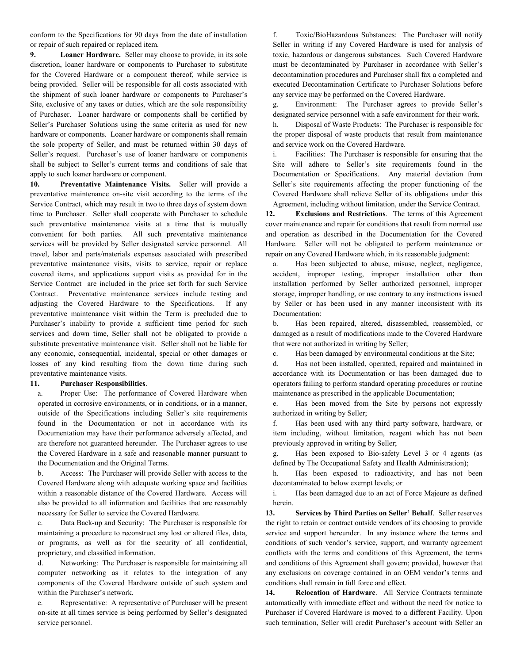conform to the Specifications for 90 days from the date of installation or repair of such repaired or replaced item.

**9. Loaner Hardware.** Seller may choose to provide, in its sole discretion, loaner hardware or components to Purchaser to substitute for the Covered Hardware or a component thereof, while service is being provided. Seller will be responsible for all costs associated with the shipment of such loaner hardware or components to Purchaser's Site, exclusive of any taxes or duties, which are the sole responsibility of Purchaser. Loaner hardware or components shall be certified by Seller's Purchaser Solutions using the same criteria as used for new hardware or components. Loaner hardware or components shall remain the sole property of Seller, and must be returned within 30 days of Seller's request. Purchaser's use of loaner hardware or components shall be subject to Seller's current terms and conditions of sale that apply to such loaner hardware or component.

**10. Preventative Maintenance Visits.** Seller will provide a preventative maintenance on-site visit according to the terms of the Service Contract, which may result in two to three days of system down time to Purchaser. Seller shall cooperate with Purchaser to schedule such preventative maintenance visits at a time that is mutually convenient for both parties. All such preventative maintenance services will be provided by Seller designated service personnel. All travel, labor and parts/materials expenses associated with prescribed preventative maintenance visits, visits to service, repair or replace covered items, and applications support visits as provided for in the Service Contract are included in the price set forth for such Service Contract. Preventative maintenance services include testing and adjusting the Covered Hardware to the Specifications. If any preventative maintenance visit within the Term is precluded due to Purchaser's inability to provide a sufficient time period for such services and down time, Seller shall not be obligated to provide a substitute preventative maintenance visit. Seller shall not be liable for any economic, consequential, incidental, special or other damages or losses of any kind resulting from the down time during such preventative maintenance visits.

## **11. Purchaser Responsibilities**.

a. Proper Use: The performance of Covered Hardware when operated in corrosive environments, or in conditions, or in a manner, outside of the Specifications including Seller's site requirements found in the Documentation or not in accordance with its Documentation may have their performance adversely affected, and are therefore not guaranteed hereunder. The Purchaser agrees to use the Covered Hardware in a safe and reasonable manner pursuant to the Documentation and the Original Terms.

b. Access: The Purchaser will provide Seller with access to the Covered Hardware along with adequate working space and facilities within a reasonable distance of the Covered Hardware. Access will also be provided to all information and facilities that are reasonably necessary for Seller to service the Covered Hardware.

c. Data Back-up and Security: The Purchaser is responsible for maintaining a procedure to reconstruct any lost or altered files, data, or programs, as well as for the security of all confidential, proprietary, and classified information.

d. Networking: The Purchaser is responsible for maintaining all computer networking as it relates to the integration of any components of the Covered Hardware outside of such system and within the Purchaser's network.

e. Representative: A representative of Purchaser will be present on-site at all times service is being performed by Seller's designated service personnel.

f. Toxic/BioHazardous Substances: The Purchaser will notify Seller in writing if any Covered Hardware is used for analysis of toxic, hazardous or dangerous substances. Such Covered Hardware must be decontaminated by Purchaser in accordance with Seller's decontamination procedures and Purchaser shall fax a completed and executed Decontamination Certificate to Purchaser Solutions before any service may be performed on the Covered Hardware.

g. Environment: The Purchaser agrees to provide Seller's designated service personnel with a safe environment for their work.

h. Disposal of Waste Products: The Purchaser is responsible for the proper disposal of waste products that result from maintenance and service work on the Covered Hardware.

i. Facilities: The Purchaser is responsible for ensuring that the Site will adhere to Seller's site requirements found in the Documentation or Specifications. Any material deviation from Seller's site requirements affecting the proper functioning of the Covered Hardware shall relieve Seller of its obligations under this Agreement, including without limitation, under the Service Contract.

**12. Exclusions and Restrictions**. The terms of this Agreement cover maintenance and repair for conditions that result from normal use and operation as described in the Documentation for the Covered Hardware. Seller will not be obligated to perform maintenance or repair on any Covered Hardware which, in its reasonable judgment:

a. Has been subjected to abuse, misuse, neglect, negligence, accident, improper testing, improper installation other than installation performed by Seller authorized personnel, improper storage, improper handling, or use contrary to any instructions issued by Seller or has been used in any manner inconsistent with its Documentation:

b. Has been repaired, altered, disassembled, reassembled, or damaged as a result of modifications made to the Covered Hardware that were not authorized in writing by Seller;

c. Has been damaged by environmental conditions at the Site;

d. Has not been installed, operated, repaired and maintained in accordance with its Documentation or has been damaged due to operators failing to perform standard operating procedures or routine maintenance as prescribed in the applicable Documentation;

e. Has been moved from the Site by persons not expressly authorized in writing by Seller;

f. Has been used with any third party software, hardware, or item including, without limitation, reagent which has not been previously approved in writing by Seller;

g. Has been exposed to Bio-safety Level 3 or 4 agents (as defined by The Occupational Safety and Health Administration);

h. Has been exposed to radioactivity, and has not been decontaminated to below exempt levels; or

i. Has been damaged due to an act of Force Majeure as defined herein.

**13. Services by Third Parties on Seller' Behalf**. Seller reserves the right to retain or contract outside vendors of its choosing to provide service and support hereunder. In any instance where the terms and conditions of such vendor's service, support, and warranty agreement conflicts with the terms and conditions of this Agreement, the terms and conditions of this Agreement shall govern; provided, however that any exclusions on coverage contained in an OEM vendor's terms and conditions shall remain in full force and effect.

**14. Relocation of Hardware**. All Service Contracts terminate automatically with immediate effect and without the need for notice to Purchaser if Covered Hardware is moved to a different Facility. Upon such termination, Seller will credit Purchaser's account with Seller an